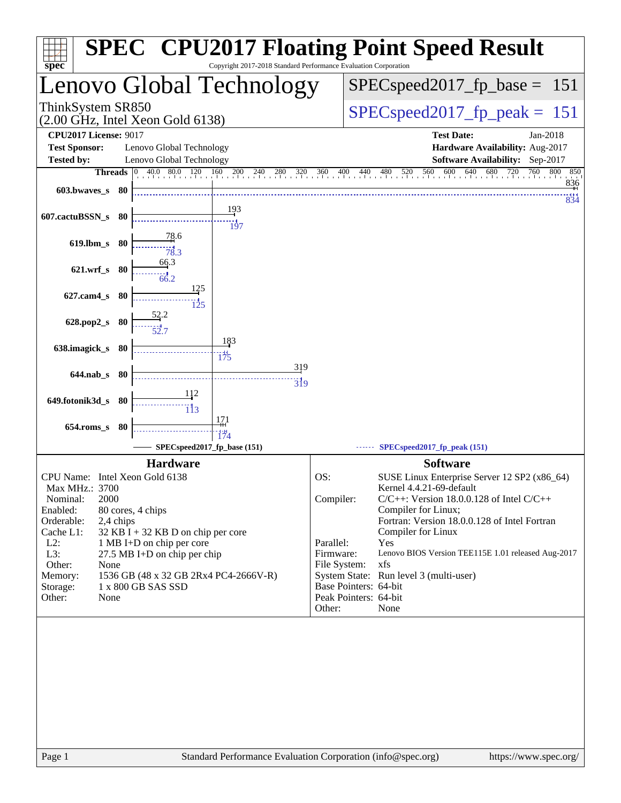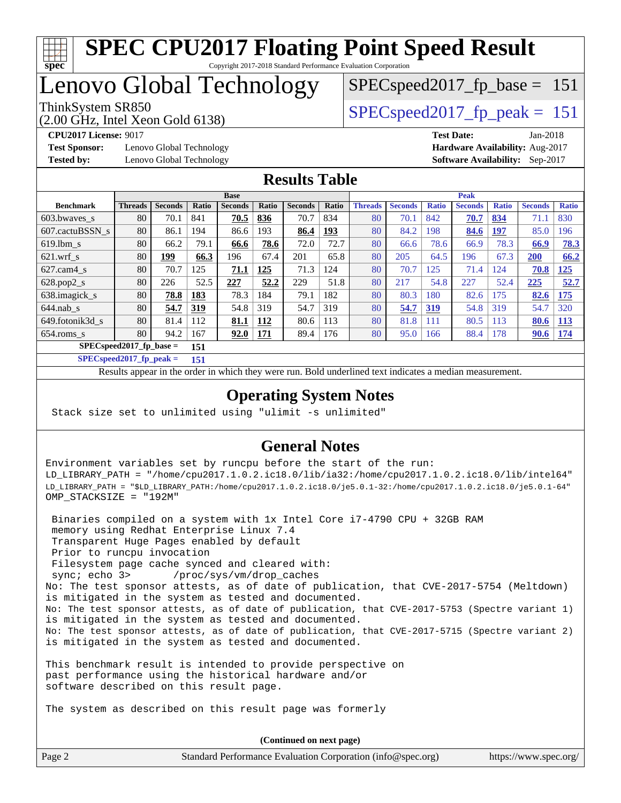

### Lenovo Global Technology

(2.00 GHz, Intel Xeon Gold 6138)

ThinkSystem SR850<br>  $\angle Q$  00 CHz, Intel Year Cald 6128)

SPECspeed2017 fp base =  $151$ 

**[Test Sponsor:](http://www.spec.org/auto/cpu2017/Docs/result-fields.html#TestSponsor)** Lenovo Global Technology **[Hardware Availability:](http://www.spec.org/auto/cpu2017/Docs/result-fields.html#HardwareAvailability)** Aug-2017 **[Tested by:](http://www.spec.org/auto/cpu2017/Docs/result-fields.html#Testedby)** Lenovo Global Technology **[Software Availability:](http://www.spec.org/auto/cpu2017/Docs/result-fields.html#SoftwareAvailability)** Sep-2017

**[CPU2017 License:](http://www.spec.org/auto/cpu2017/Docs/result-fields.html#CPU2017License)** 9017 **[Test Date:](http://www.spec.org/auto/cpu2017/Docs/result-fields.html#TestDate)** Jan-2018

#### **[Results Table](http://www.spec.org/auto/cpu2017/Docs/result-fields.html#ResultsTable)**

|                            | <b>Base</b>    |                |       |                |       |                | <b>Peak</b> |                |                |              |                |              |                |              |
|----------------------------|----------------|----------------|-------|----------------|-------|----------------|-------------|----------------|----------------|--------------|----------------|--------------|----------------|--------------|
| <b>Benchmark</b>           | <b>Threads</b> | <b>Seconds</b> | Ratio | <b>Seconds</b> | Ratio | <b>Seconds</b> | Ratio       | <b>Threads</b> | <b>Seconds</b> | <b>Ratio</b> | <b>Seconds</b> | <b>Ratio</b> | <b>Seconds</b> | <b>Ratio</b> |
| 603.bwaves_s               | 80             | 70.1           | 841   | 70.5           | 836   | 70.7           | 834         | 80             | 70.1           | 842          | 70.7           | 834          | 71.1           | 830          |
| 607.cactuBSSN s            | 80             | 86.1           | 194   | 86.6           | 193   | 86.4           | 193         | 80             | 84.2           | 198          | 84.6           | 197          | 85.0           | 196          |
| $619.1$ bm s               | 80             | 66.2           | 79.1  | 66.6           | 78.6  | 72.0           | 72.7        | 80             | 66.6           | 78.6         | 66.9           | 78.3         | 66.9           | 78.3         |
| $621.wrf$ s                | 80             | 199            | 66.3  | 196            | 67.4  | 201            | 65.8        | 80             | 205            | 64.5         | 196            | 67.3         | 200            | 66.2         |
| $627$ .cam $4 \text{ s}$   | 80             | 70.7           | 125   | 71.1           | 125   | 71.3           | 124         | 80             | 70.7           | 125          | 71.4           | 24           | 70.8           | 125          |
| $628.pop2_s$               | 80             | 226            | 52.5  | 227            | 52.2  | 229            | 51.8        | 80             | 217            | 54.8         | 227            | 52.4         | 225            | 52.7         |
| 638.imagick_s              | 80             | 78.8           | 183   | 78.3           | 184   | 79.1           | 182         | 80             | 80.3           | 180          | 82.6           | 175          | 82.6           | 175          |
| $644$ .nab s               | 80             | 54.7           | 319   | 54.8           | 319   | 54.7           | 319         | 80             | 54.7           | 319          | 54.8           | 319          | 54.7           | 320          |
| 649.fotonik3d s            | 80             | 81.4           | 112   | 81.1           | 112   | 80.6           | 113         | 80             | 81.8           | 111          | 80.5           | 113          | 80.6           | 113          |
| $654$ .roms s              | 80             | 94.2           | 167   | 92.0           | 171   | 89.4           | 176         | 80             | 95.0           | 166          | 88.4           | 178          | 90.6           | 174          |
| $SPEC speed2017$ fp base = |                |                | 151   |                |       |                |             |                |                |              |                |              |                |              |

**[SPECspeed2017\\_fp\\_peak =](http://www.spec.org/auto/cpu2017/Docs/result-fields.html#SPECspeed2017fppeak) 151**

Results appear in the [order in which they were run.](http://www.spec.org/auto/cpu2017/Docs/result-fields.html#RunOrder) Bold underlined text [indicates a median measurement](http://www.spec.org/auto/cpu2017/Docs/result-fields.html#Median).

#### **[Operating System Notes](http://www.spec.org/auto/cpu2017/Docs/result-fields.html#OperatingSystemNotes)**

Stack size set to unlimited using "ulimit -s unlimited"

#### **[General Notes](http://www.spec.org/auto/cpu2017/Docs/result-fields.html#GeneralNotes)**

Environment variables set by runcpu before the start of the run: LD\_LIBRARY\_PATH = "/home/cpu2017.1.0.2.ic18.0/lib/ia32:/home/cpu2017.1.0.2.ic18.0/lib/intel64" LD\_LIBRARY\_PATH = "\$LD\_LIBRARY\_PATH:/home/cpu2017.1.0.2.ic18.0/je5.0.1-32:/home/cpu2017.1.0.2.ic18.0/je5.0.1-64" OMP\_STACKSIZE = "192M"

 Binaries compiled on a system with 1x Intel Core i7-4790 CPU + 32GB RAM memory using Redhat Enterprise Linux 7.4 Transparent Huge Pages enabled by default Prior to runcpu invocation Filesystem page cache synced and cleared with: sync; echo 3> /proc/sys/vm/drop\_caches No: The test sponsor attests, as of date of publication, that CVE-2017-5754 (Meltdown) is mitigated in the system as tested and documented. No: The test sponsor attests, as of date of publication, that CVE-2017-5753 (Spectre variant 1) is mitigated in the system as tested and documented. No: The test sponsor attests, as of date of publication, that CVE-2017-5715 (Spectre variant 2) is mitigated in the system as tested and documented.

This benchmark result is intended to provide perspective on past performance using the historical hardware and/or software described on this result page.

The system as described on this result page was formerly

Page 2 Standard Performance Evaluation Corporation [\(info@spec.org\)](mailto:info@spec.org) <https://www.spec.org/> **(Continued on next page)**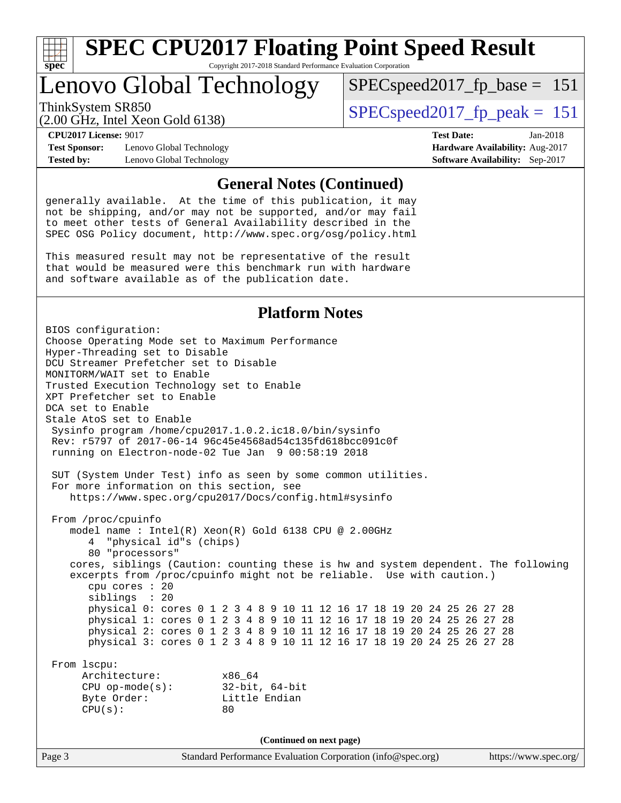

### Lenovo Global Technology

ThinkSystem SR850<br>  $SPEC speed2017$  fp\_peak = 151 SPECspeed2017 fp base =  $151$ 

(2.00 GHz, Intel Xeon Gold 6138)

**[Test Sponsor:](http://www.spec.org/auto/cpu2017/Docs/result-fields.html#TestSponsor)** Lenovo Global Technology **[Hardware Availability:](http://www.spec.org/auto/cpu2017/Docs/result-fields.html#HardwareAvailability)** Aug-2017 **[Tested by:](http://www.spec.org/auto/cpu2017/Docs/result-fields.html#Testedby)** Lenovo Global Technology **[Software Availability:](http://www.spec.org/auto/cpu2017/Docs/result-fields.html#SoftwareAvailability)** Sep-2017

**[CPU2017 License:](http://www.spec.org/auto/cpu2017/Docs/result-fields.html#CPU2017License)** 9017 **[Test Date:](http://www.spec.org/auto/cpu2017/Docs/result-fields.html#TestDate)** Jan-2018

#### **[General Notes \(Continued\)](http://www.spec.org/auto/cpu2017/Docs/result-fields.html#GeneralNotes)**

generally available. At the time of this publication, it may not be shipping, and/or may not be supported, and/or may fail to meet other tests of General Availability described in the SPEC OSG Policy document, <http://www.spec.org/osg/policy.html>

This measured result may not be representative of the result that would be measured were this benchmark run with hardware and software available as of the publication date.

#### **[Platform Notes](http://www.spec.org/auto/cpu2017/Docs/result-fields.html#PlatformNotes)**

Page 3 Standard Performance Evaluation Corporation [\(info@spec.org\)](mailto:info@spec.org) <https://www.spec.org/> BIOS configuration: Choose Operating Mode set to Maximum Performance Hyper-Threading set to Disable DCU Streamer Prefetcher set to Disable MONITORM/WAIT set to Enable Trusted Execution Technology set to Enable XPT Prefetcher set to Enable DCA set to Enable Stale AtoS set to Enable Sysinfo program /home/cpu2017.1.0.2.ic18.0/bin/sysinfo Rev: r5797 of 2017-06-14 96c45e4568ad54c135fd618bcc091c0f running on Electron-node-02 Tue Jan 9 00:58:19 2018 SUT (System Under Test) info as seen by some common utilities. For more information on this section, see <https://www.spec.org/cpu2017/Docs/config.html#sysinfo> From /proc/cpuinfo model name : Intel(R) Xeon(R) Gold 6138 CPU @ 2.00GHz 4 "physical id"s (chips) 80 "processors" cores, siblings (Caution: counting these is hw and system dependent. The following excerpts from /proc/cpuinfo might not be reliable. Use with caution.) cpu cores : 20 siblings : 20 physical 0: cores 0 1 2 3 4 8 9 10 11 12 16 17 18 19 20 24 25 26 27 28 physical 1: cores 0 1 2 3 4 8 9 10 11 12 16 17 18 19 20 24 25 26 27 28 physical 2: cores 0 1 2 3 4 8 9 10 11 12 16 17 18 19 20 24 25 26 27 28 physical 3: cores 0 1 2 3 4 8 9 10 11 12 16 17 18 19 20 24 25 26 27 28 From lscpu: Architecture: x86\_64 CPU op-mode(s): 32-bit, 64-bit Byte Order: Little Endian  $CPU(s):$  80 **(Continued on next page)**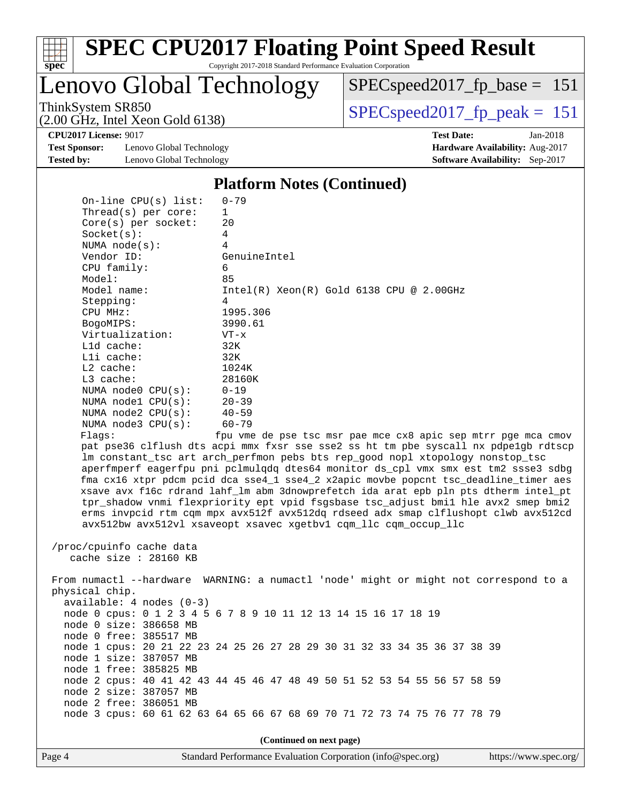

# **[SPEC CPU2017 Floating Point Speed Result](http://www.spec.org/auto/cpu2017/Docs/result-fields.html#SPECCPU2017FloatingPointSpeedResult)**

Copyright 2017-2018 Standard Performance Evaluation Corporation

Lenovo Global Technology

[SPECspeed2017\\_fp\\_base =](http://www.spec.org/auto/cpu2017/Docs/result-fields.html#SPECspeed2017fpbase) 151

(2.00 GHz, Intel Xeon Gold 6138)

ThinkSystem SR850<br>  $(2.00 \text{ GHz})$  Intel Xeon Gold 6138)

**[Test Sponsor:](http://www.spec.org/auto/cpu2017/Docs/result-fields.html#TestSponsor)** Lenovo Global Technology **[Hardware Availability:](http://www.spec.org/auto/cpu2017/Docs/result-fields.html#HardwareAvailability)** Aug-2017 **[Tested by:](http://www.spec.org/auto/cpu2017/Docs/result-fields.html#Testedby)** Lenovo Global Technology **[Software Availability:](http://www.spec.org/auto/cpu2017/Docs/result-fields.html#SoftwareAvailability)** Sep-2017

**[CPU2017 License:](http://www.spec.org/auto/cpu2017/Docs/result-fields.html#CPU2017License)** 9017 **[Test Date:](http://www.spec.org/auto/cpu2017/Docs/result-fields.html#TestDate)** Jan-2018

#### **[Platform Notes \(Continued\)](http://www.spec.org/auto/cpu2017/Docs/result-fields.html#PlatformNotes)**

| On-line $CPU(s)$ list:     | $0 - 79$                                                                             |
|----------------------------|--------------------------------------------------------------------------------------|
| Thread( $s$ ) per core:    | 1                                                                                    |
| $Core(s)$ per socket:      | 20                                                                                   |
| Socket(s):                 | 4                                                                                    |
| NUMA node(s):              | 4                                                                                    |
| Vendor ID:                 | GenuineIntel                                                                         |
| CPU family:                | 6                                                                                    |
| Model:                     | 85                                                                                   |
| Model name:                | $Intel(R) Xeon(R) Gold 6138 CPU @ 2.00GHz$                                           |
| Stepping:                  | 4                                                                                    |
| CPU MHz:                   | 1995.306                                                                             |
| BogoMIPS:                  | 3990.61                                                                              |
| Virtualization:            | $VT - x$                                                                             |
| L1d cache:                 | 32K                                                                                  |
| Lli cache:                 | 32K                                                                                  |
| L2 cache:                  | 1024K                                                                                |
| L3 cache:                  | 28160K                                                                               |
| NUMA $node0$ $CPU(s):$     | $0 - 19$                                                                             |
| NUMA $node1$ $CPU(s):$     | $20 - 39$                                                                            |
| NUMA $node2$ $CPU(s)$ :    | $40 - 59$                                                                            |
| NUMA node3 CPU(s):         | $60 - 79$                                                                            |
| Flaqs:                     | fpu vme de pse tsc msr pae mce cx8 apic sep mtrr pge mca cmov                        |
|                            | pat pse36 clflush dts acpi mmx fxsr sse sse2 ss ht tm pbe syscall nx pdpe1gb rdtscp  |
|                            | lm constant_tsc art arch_perfmon pebs bts rep_good nopl xtopology nonstop_tsc        |
|                            | aperfmperf eagerfpu pni pclmulqdq dtes64 monitor ds_cpl vmx smx est tm2 ssse3 sdbg   |
|                            | fma cx16 xtpr pdcm pcid dca sse4_1 sse4_2 x2apic movbe popcnt tsc_deadline_timer aes |
|                            | xsave avx f16c rdrand lahf_lm abm 3dnowprefetch ida arat epb pln pts dtherm intel_pt |
|                            | tpr_shadow vnmi flexpriority ept vpid fsgsbase tsc_adjust bmil hle avx2 smep bmi2    |
|                            | erms invpcid rtm cqm mpx avx512f avx512dq rdseed adx smap clflushopt clwb avx512cd   |
|                            | avx512bw avx512vl xsaveopt xsavec xgetbvl cqm_llc cqm_occup_llc                      |
|                            |                                                                                      |
| /proc/cpuinfo cache data   |                                                                                      |
| cache size : 28160 KB      |                                                                                      |
|                            |                                                                                      |
|                            | From numactl --hardware WARNING: a numactl 'node' might or might not correspond to a |
| physical chip.             |                                                                                      |
| $available: 4 nodes (0-3)$ |                                                                                      |
|                            | node 0 cpus: 0 1 2 3 4 5 6 7 8 9 10 11 12 13 14 15 16 17 18 19                       |
| node 0 size: 386658 MB     |                                                                                      |
| node 0 free: 385517 MB     |                                                                                      |
|                            | node 1 cpus: 20 21 22 23 24 25 26 27 28 29 30 31 32 33 34 35 36 37 38 39             |
| node 1 size: 387057 MB     |                                                                                      |
| node 1 free: 385825 MB     |                                                                                      |
|                            | node 2 cpus: 40 41 42 43 44 45 46 47 48 49 50 51 52 53 54 55 56 57 58 59             |
| node 2 size: 387057 MB     |                                                                                      |
| node 2 free: 386051 MB     |                                                                                      |
|                            | node 3 cpus: 60 61 62 63 64 65 66 67 68 69 70 71 72 73 74 75 76 77 78 79             |
|                            |                                                                                      |
|                            |                                                                                      |

**(Continued on next page)**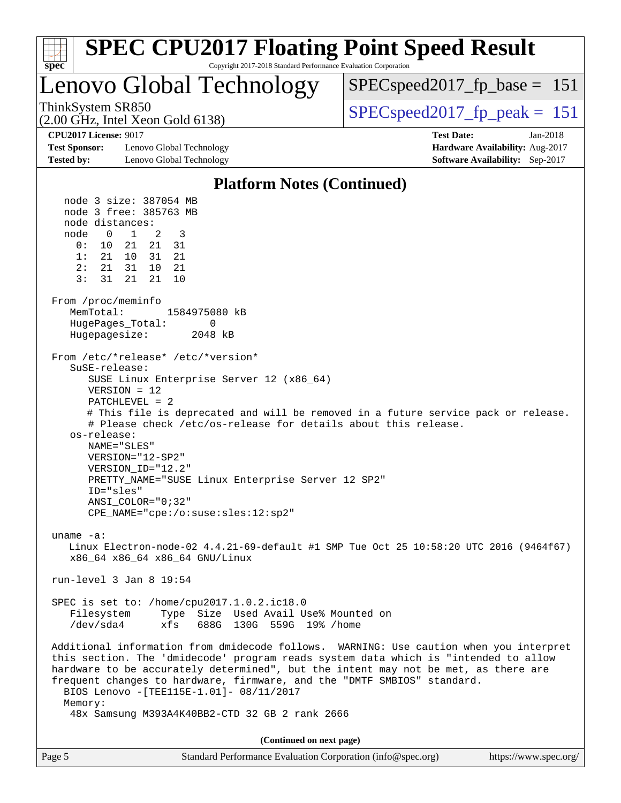

|  | Page 5 | Standard Performance Evaluation Corporation (info@spec.org) | https://www.spec.org/ |
|--|--------|-------------------------------------------------------------|-----------------------|
|--|--------|-------------------------------------------------------------|-----------------------|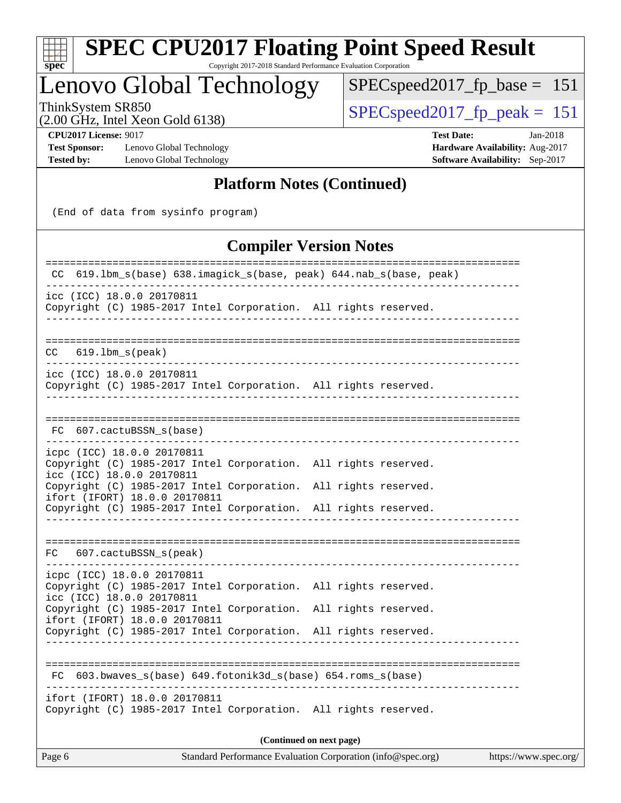

# **[SPEC CPU2017 Floating Point Speed Result](http://www.spec.org/auto/cpu2017/Docs/result-fields.html#SPECCPU2017FloatingPointSpeedResult)**

Copyright 2017-2018 Standard Performance Evaluation Corporation

### Lenovo Global Technology

 $SPEC speed2017_fp\_base = 151$ 

(2.00 GHz, Intel Xeon Gold 6138)

 $SPEC speed2017_fp\_peak = 151$ 

**[Test Sponsor:](http://www.spec.org/auto/cpu2017/Docs/result-fields.html#TestSponsor)** Lenovo Global Technology **[Hardware Availability:](http://www.spec.org/auto/cpu2017/Docs/result-fields.html#HardwareAvailability)** Aug-2017 **[Tested by:](http://www.spec.org/auto/cpu2017/Docs/result-fields.html#Testedby)** Lenovo Global Technology **[Software Availability:](http://www.spec.org/auto/cpu2017/Docs/result-fields.html#SoftwareAvailability)** Sep-2017

**[CPU2017 License:](http://www.spec.org/auto/cpu2017/Docs/result-fields.html#CPU2017License)** 9017 **[Test Date:](http://www.spec.org/auto/cpu2017/Docs/result-fields.html#TestDate)** Jan-2018

#### **[Platform Notes \(Continued\)](http://www.spec.org/auto/cpu2017/Docs/result-fields.html#PlatformNotes)**

(End of data from sysinfo program)

#### **[Compiler Version Notes](http://www.spec.org/auto/cpu2017/Docs/result-fields.html#CompilerVersionNotes)**

| CC 619.1bm_s(base) 638.imagick_s(base, peak) 644.nab_s(base, peak)                                                                                                                               |  |
|--------------------------------------------------------------------------------------------------------------------------------------------------------------------------------------------------|--|
| icc (ICC) 18.0.0 20170811<br>Copyright (C) 1985-2017 Intel Corporation. All rights reserved.<br>-------------------                                                                              |  |
| CC<br>$619.1$ bm s(peak)                                                                                                                                                                         |  |
| icc (ICC) 18.0.0 20170811<br>Copyright (C) 1985-2017 Intel Corporation. All rights reserved.                                                                                                     |  |
| FC 607.cactuBSSN s(base)                                                                                                                                                                         |  |
| -------------<br>icpc (ICC) 18.0.0 20170811<br>Copyright (C) 1985-2017 Intel Corporation. All rights reserved.<br>icc (ICC) 18.0.0 20170811                                                      |  |
| Copyright (C) 1985-2017 Intel Corporation.<br>All rights reserved.<br>ifort (IFORT) 18.0.0 20170811<br>Copyright (C) 1985-2017 Intel Corporation. All rights reserved.                           |  |
| 607.cactuBSSN_s(peak)<br>FC                                                                                                                                                                      |  |
| icpc (ICC) 18.0.0 20170811<br>Copyright (C) 1985-2017 Intel Corporation. All rights reserved.<br>icc (ICC) 18.0.0 20170811<br>Copyright (C) 1985-2017 Intel Corporation.<br>All rights reserved. |  |
| ifort (IFORT) 18.0.0 20170811<br>Copyright (C) 1985-2017 Intel Corporation.<br>All rights reserved.                                                                                              |  |
| FC 603.bwaves_s(base) 649.fotonik3d_s(base) 654.roms_s(base)                                                                                                                                     |  |
| ifort (IFORT) 18.0.0 20170811<br>Copyright (C) 1985-2017 Intel Corporation. All rights reserved.                                                                                                 |  |
| (Continued on next page)                                                                                                                                                                         |  |
| Standard Performance Evaluation Corporation (info@spec.org)<br>Page 6<br>https://www.spec.org/                                                                                                   |  |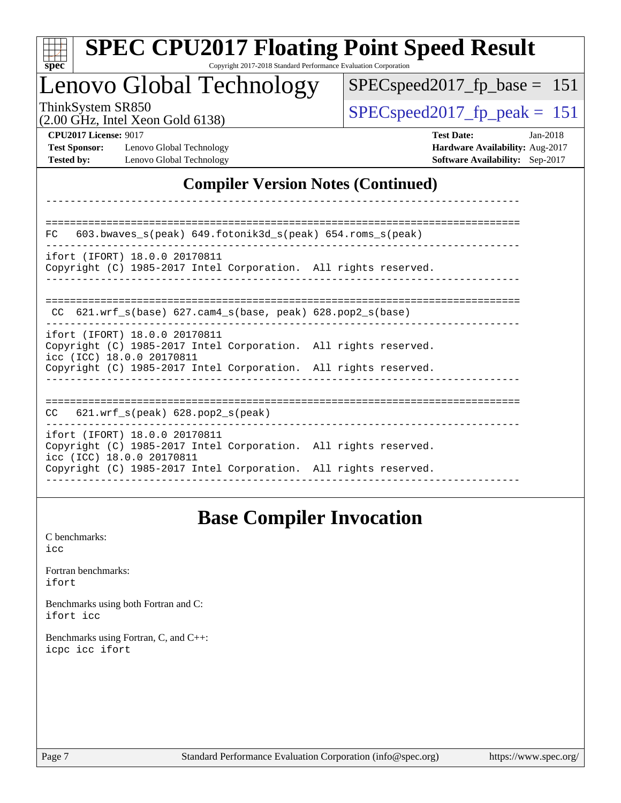| <b>SPEC CPU2017 Floating Point Speed Result</b><br>spec<br>Copyright 2017-2018 Standard Performance Evaluation Corporation        |                                                                                                       |
|-----------------------------------------------------------------------------------------------------------------------------------|-------------------------------------------------------------------------------------------------------|
| Lenovo Global Technology                                                                                                          | $SPEC speed2017$ fp base =<br>-151                                                                    |
| ThinkSystem SR850<br>$(2.00 \text{ GHz}, \text{Intel Xeon Gold } 6138)$                                                           | $SPEC speed2017fr peak = 151$                                                                         |
| <b>CPU2017 License: 9017</b><br><b>Test Sponsor:</b><br>Lenovo Global Technology<br><b>Tested by:</b><br>Lenovo Global Technology | <b>Test Date:</b><br>$Jan-2018$<br>Hardware Availability: Aug-2017<br>Software Availability: Sep-2017 |
| <b>Compiler Version Notes (Continued)</b>                                                                                         |                                                                                                       |
|                                                                                                                                   |                                                                                                       |
| 603.bwaves_s(peak) 649.fotonik3d_s(peak) 654.roms_s(peak)<br>FC                                                                   |                                                                                                       |
| ifort (IFORT) 18.0.0 20170811<br>Copyright (C) 1985-2017 Intel Corporation. All rights reserved.                                  |                                                                                                       |
| CC 621.wrf_s(base) 627.cam4_s(base, peak) 628.pop2_s(base)                                                                        |                                                                                                       |
| ifort (IFORT) 18.0.0 20170811<br>Copyright (C) 1985-2017 Intel Corporation. All rights reserved.                                  |                                                                                                       |
| icc (ICC) 18.0.0 20170811<br>Copyright (C) 1985-2017 Intel Corporation. All rights reserved.                                      |                                                                                                       |
| CC<br>621.wrf_s(peak) 628.pop2_s(peak)                                                                                            |                                                                                                       |
| ifort (IFORT) 18.0.0 20170811<br>Copyright (C) 1985-2017 Intel Corporation. All rights reserved.<br>icc (ICC) 18.0.0 20170811     |                                                                                                       |
| Copyright (C) 1985-2017 Intel Corporation. All rights reserved.                                                                   |                                                                                                       |

### **[Base Compiler Invocation](http://www.spec.org/auto/cpu2017/Docs/result-fields.html#BaseCompilerInvocation)**

[C benchmarks](http://www.spec.org/auto/cpu2017/Docs/result-fields.html#Cbenchmarks): [icc](http://www.spec.org/cpu2017/results/res2018q1/cpu2017-20180122-03064.flags.html#user_CCbase_intel_icc_18.0_66fc1ee009f7361af1fbd72ca7dcefbb700085f36577c54f309893dd4ec40d12360134090235512931783d35fd58c0460139e722d5067c5574d8eaf2b3e37e92)

[Fortran benchmarks](http://www.spec.org/auto/cpu2017/Docs/result-fields.html#Fortranbenchmarks): [ifort](http://www.spec.org/cpu2017/results/res2018q1/cpu2017-20180122-03064.flags.html#user_FCbase_intel_ifort_18.0_8111460550e3ca792625aed983ce982f94888b8b503583aa7ba2b8303487b4d8a21a13e7191a45c5fd58ff318f48f9492884d4413fa793fd88dd292cad7027ca)

[Benchmarks using both Fortran and C](http://www.spec.org/auto/cpu2017/Docs/result-fields.html#BenchmarksusingbothFortranandC): [ifort](http://www.spec.org/cpu2017/results/res2018q1/cpu2017-20180122-03064.flags.html#user_CC_FCbase_intel_ifort_18.0_8111460550e3ca792625aed983ce982f94888b8b503583aa7ba2b8303487b4d8a21a13e7191a45c5fd58ff318f48f9492884d4413fa793fd88dd292cad7027ca) [icc](http://www.spec.org/cpu2017/results/res2018q1/cpu2017-20180122-03064.flags.html#user_CC_FCbase_intel_icc_18.0_66fc1ee009f7361af1fbd72ca7dcefbb700085f36577c54f309893dd4ec40d12360134090235512931783d35fd58c0460139e722d5067c5574d8eaf2b3e37e92)

[Benchmarks using Fortran, C, and C++:](http://www.spec.org/auto/cpu2017/Docs/result-fields.html#BenchmarksusingFortranCandCXX) [icpc](http://www.spec.org/cpu2017/results/res2018q1/cpu2017-20180122-03064.flags.html#user_CC_CXX_FCbase_intel_icpc_18.0_c510b6838c7f56d33e37e94d029a35b4a7bccf4766a728ee175e80a419847e808290a9b78be685c44ab727ea267ec2f070ec5dc83b407c0218cded6866a35d07) [icc](http://www.spec.org/cpu2017/results/res2018q1/cpu2017-20180122-03064.flags.html#user_CC_CXX_FCbase_intel_icc_18.0_66fc1ee009f7361af1fbd72ca7dcefbb700085f36577c54f309893dd4ec40d12360134090235512931783d35fd58c0460139e722d5067c5574d8eaf2b3e37e92) [ifort](http://www.spec.org/cpu2017/results/res2018q1/cpu2017-20180122-03064.flags.html#user_CC_CXX_FCbase_intel_ifort_18.0_8111460550e3ca792625aed983ce982f94888b8b503583aa7ba2b8303487b4d8a21a13e7191a45c5fd58ff318f48f9492884d4413fa793fd88dd292cad7027ca)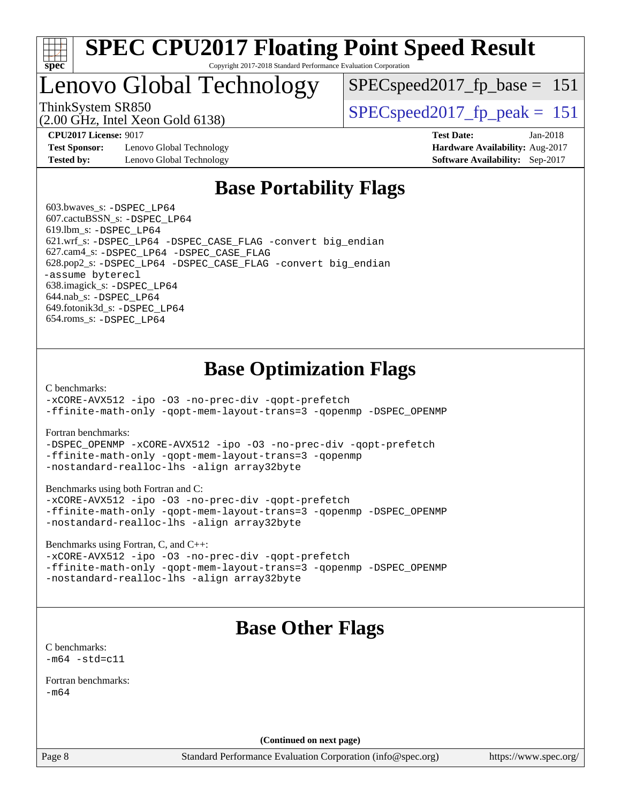

### Lenovo Global Technology

ThinkSystem SR850<br>  $SPEC speed2017$  fp\_peak = 151 SPECspeed2017 fp base  $= 151$ 

(2.00 GHz, Intel Xeon Gold 6138)

**[Test Sponsor:](http://www.spec.org/auto/cpu2017/Docs/result-fields.html#TestSponsor)** Lenovo Global Technology **[Hardware Availability:](http://www.spec.org/auto/cpu2017/Docs/result-fields.html#HardwareAvailability)** Aug-2017 **[Tested by:](http://www.spec.org/auto/cpu2017/Docs/result-fields.html#Testedby)** Lenovo Global Technology **[Software Availability:](http://www.spec.org/auto/cpu2017/Docs/result-fields.html#SoftwareAvailability)** Sep-2017

**[CPU2017 License:](http://www.spec.org/auto/cpu2017/Docs/result-fields.html#CPU2017License)** 9017 **[Test Date:](http://www.spec.org/auto/cpu2017/Docs/result-fields.html#TestDate)** Jan-2018

### **[Base Portability Flags](http://www.spec.org/auto/cpu2017/Docs/result-fields.html#BasePortabilityFlags)**

 603.bwaves\_s: [-DSPEC\\_LP64](http://www.spec.org/cpu2017/results/res2018q1/cpu2017-20180122-03064.flags.html#suite_basePORTABILITY603_bwaves_s_DSPEC_LP64) 607.cactuBSSN\_s: [-DSPEC\\_LP64](http://www.spec.org/cpu2017/results/res2018q1/cpu2017-20180122-03064.flags.html#suite_basePORTABILITY607_cactuBSSN_s_DSPEC_LP64) 619.lbm\_s: [-DSPEC\\_LP64](http://www.spec.org/cpu2017/results/res2018q1/cpu2017-20180122-03064.flags.html#suite_basePORTABILITY619_lbm_s_DSPEC_LP64) 621.wrf\_s: [-DSPEC\\_LP64](http://www.spec.org/cpu2017/results/res2018q1/cpu2017-20180122-03064.flags.html#suite_basePORTABILITY621_wrf_s_DSPEC_LP64) [-DSPEC\\_CASE\\_FLAG](http://www.spec.org/cpu2017/results/res2018q1/cpu2017-20180122-03064.flags.html#b621.wrf_s_baseCPORTABILITY_DSPEC_CASE_FLAG) [-convert big\\_endian](http://www.spec.org/cpu2017/results/res2018q1/cpu2017-20180122-03064.flags.html#user_baseFPORTABILITY621_wrf_s_convert_big_endian_c3194028bc08c63ac5d04de18c48ce6d347e4e562e8892b8bdbdc0214820426deb8554edfa529a3fb25a586e65a3d812c835984020483e7e73212c4d31a38223) 627.cam4\_s: [-DSPEC\\_LP64](http://www.spec.org/cpu2017/results/res2018q1/cpu2017-20180122-03064.flags.html#suite_basePORTABILITY627_cam4_s_DSPEC_LP64) [-DSPEC\\_CASE\\_FLAG](http://www.spec.org/cpu2017/results/res2018q1/cpu2017-20180122-03064.flags.html#b627.cam4_s_baseCPORTABILITY_DSPEC_CASE_FLAG) 628.pop2\_s: [-DSPEC\\_LP64](http://www.spec.org/cpu2017/results/res2018q1/cpu2017-20180122-03064.flags.html#suite_basePORTABILITY628_pop2_s_DSPEC_LP64) [-DSPEC\\_CASE\\_FLAG](http://www.spec.org/cpu2017/results/res2018q1/cpu2017-20180122-03064.flags.html#b628.pop2_s_baseCPORTABILITY_DSPEC_CASE_FLAG) [-convert big\\_endian](http://www.spec.org/cpu2017/results/res2018q1/cpu2017-20180122-03064.flags.html#user_baseFPORTABILITY628_pop2_s_convert_big_endian_c3194028bc08c63ac5d04de18c48ce6d347e4e562e8892b8bdbdc0214820426deb8554edfa529a3fb25a586e65a3d812c835984020483e7e73212c4d31a38223) [-assume byterecl](http://www.spec.org/cpu2017/results/res2018q1/cpu2017-20180122-03064.flags.html#user_baseFPORTABILITY628_pop2_s_assume_byterecl_7e47d18b9513cf18525430bbf0f2177aa9bf368bc7a059c09b2c06a34b53bd3447c950d3f8d6c70e3faf3a05c8557d66a5798b567902e8849adc142926523472) 638.imagick\_s: [-DSPEC\\_LP64](http://www.spec.org/cpu2017/results/res2018q1/cpu2017-20180122-03064.flags.html#suite_basePORTABILITY638_imagick_s_DSPEC_LP64) 644.nab\_s: [-DSPEC\\_LP64](http://www.spec.org/cpu2017/results/res2018q1/cpu2017-20180122-03064.flags.html#suite_basePORTABILITY644_nab_s_DSPEC_LP64) 649.fotonik3d\_s: [-DSPEC\\_LP64](http://www.spec.org/cpu2017/results/res2018q1/cpu2017-20180122-03064.flags.html#suite_basePORTABILITY649_fotonik3d_s_DSPEC_LP64) 654.roms\_s: [-DSPEC\\_LP64](http://www.spec.org/cpu2017/results/res2018q1/cpu2017-20180122-03064.flags.html#suite_basePORTABILITY654_roms_s_DSPEC_LP64)

### **[Base Optimization Flags](http://www.spec.org/auto/cpu2017/Docs/result-fields.html#BaseOptimizationFlags)**

[C benchmarks](http://www.spec.org/auto/cpu2017/Docs/result-fields.html#Cbenchmarks):

[-xCORE-AVX512](http://www.spec.org/cpu2017/results/res2018q1/cpu2017-20180122-03064.flags.html#user_CCbase_f-xCORE-AVX512) [-ipo](http://www.spec.org/cpu2017/results/res2018q1/cpu2017-20180122-03064.flags.html#user_CCbase_f-ipo) [-O3](http://www.spec.org/cpu2017/results/res2018q1/cpu2017-20180122-03064.flags.html#user_CCbase_f-O3) [-no-prec-div](http://www.spec.org/cpu2017/results/res2018q1/cpu2017-20180122-03064.flags.html#user_CCbase_f-no-prec-div) [-qopt-prefetch](http://www.spec.org/cpu2017/results/res2018q1/cpu2017-20180122-03064.flags.html#user_CCbase_f-qopt-prefetch) [-ffinite-math-only](http://www.spec.org/cpu2017/results/res2018q1/cpu2017-20180122-03064.flags.html#user_CCbase_f_finite_math_only_cb91587bd2077682c4b38af759c288ed7c732db004271a9512da14a4f8007909a5f1427ecbf1a0fb78ff2a814402c6114ac565ca162485bbcae155b5e4258871) [-qopt-mem-layout-trans=3](http://www.spec.org/cpu2017/results/res2018q1/cpu2017-20180122-03064.flags.html#user_CCbase_f-qopt-mem-layout-trans_de80db37974c74b1f0e20d883f0b675c88c3b01e9d123adea9b28688d64333345fb62bc4a798493513fdb68f60282f9a726aa07f478b2f7113531aecce732043) [-qopenmp](http://www.spec.org/cpu2017/results/res2018q1/cpu2017-20180122-03064.flags.html#user_CCbase_qopenmp_16be0c44f24f464004c6784a7acb94aca937f053568ce72f94b139a11c7c168634a55f6653758ddd83bcf7b8463e8028bb0b48b77bcddc6b78d5d95bb1df2967) [-DSPEC\\_OPENMP](http://www.spec.org/cpu2017/results/res2018q1/cpu2017-20180122-03064.flags.html#suite_CCbase_DSPEC_OPENMP)

[Fortran benchmarks](http://www.spec.org/auto/cpu2017/Docs/result-fields.html#Fortranbenchmarks):

[-DSPEC\\_OPENMP](http://www.spec.org/cpu2017/results/res2018q1/cpu2017-20180122-03064.flags.html#suite_FCbase_DSPEC_OPENMP) [-xCORE-AVX512](http://www.spec.org/cpu2017/results/res2018q1/cpu2017-20180122-03064.flags.html#user_FCbase_f-xCORE-AVX512) [-ipo](http://www.spec.org/cpu2017/results/res2018q1/cpu2017-20180122-03064.flags.html#user_FCbase_f-ipo) [-O3](http://www.spec.org/cpu2017/results/res2018q1/cpu2017-20180122-03064.flags.html#user_FCbase_f-O3) [-no-prec-div](http://www.spec.org/cpu2017/results/res2018q1/cpu2017-20180122-03064.flags.html#user_FCbase_f-no-prec-div) [-qopt-prefetch](http://www.spec.org/cpu2017/results/res2018q1/cpu2017-20180122-03064.flags.html#user_FCbase_f-qopt-prefetch) [-ffinite-math-only](http://www.spec.org/cpu2017/results/res2018q1/cpu2017-20180122-03064.flags.html#user_FCbase_f_finite_math_only_cb91587bd2077682c4b38af759c288ed7c732db004271a9512da14a4f8007909a5f1427ecbf1a0fb78ff2a814402c6114ac565ca162485bbcae155b5e4258871) [-qopt-mem-layout-trans=3](http://www.spec.org/cpu2017/results/res2018q1/cpu2017-20180122-03064.flags.html#user_FCbase_f-qopt-mem-layout-trans_de80db37974c74b1f0e20d883f0b675c88c3b01e9d123adea9b28688d64333345fb62bc4a798493513fdb68f60282f9a726aa07f478b2f7113531aecce732043) [-qopenmp](http://www.spec.org/cpu2017/results/res2018q1/cpu2017-20180122-03064.flags.html#user_FCbase_qopenmp_16be0c44f24f464004c6784a7acb94aca937f053568ce72f94b139a11c7c168634a55f6653758ddd83bcf7b8463e8028bb0b48b77bcddc6b78d5d95bb1df2967) [-nostandard-realloc-lhs](http://www.spec.org/cpu2017/results/res2018q1/cpu2017-20180122-03064.flags.html#user_FCbase_f_2003_std_realloc_82b4557e90729c0f113870c07e44d33d6f5a304b4f63d4c15d2d0f1fab99f5daaed73bdb9275d9ae411527f28b936061aa8b9c8f2d63842963b95c9dd6426b8a) [-align array32byte](http://www.spec.org/cpu2017/results/res2018q1/cpu2017-20180122-03064.flags.html#user_FCbase_align_array32byte_b982fe038af199962ba9a80c053b8342c548c85b40b8e86eb3cc33dee0d7986a4af373ac2d51c3f7cf710a18d62fdce2948f201cd044323541f22fc0fffc51b6)

[Benchmarks using both Fortran and C](http://www.spec.org/auto/cpu2017/Docs/result-fields.html#BenchmarksusingbothFortranandC):

[-xCORE-AVX512](http://www.spec.org/cpu2017/results/res2018q1/cpu2017-20180122-03064.flags.html#user_CC_FCbase_f-xCORE-AVX512) [-ipo](http://www.spec.org/cpu2017/results/res2018q1/cpu2017-20180122-03064.flags.html#user_CC_FCbase_f-ipo) [-O3](http://www.spec.org/cpu2017/results/res2018q1/cpu2017-20180122-03064.flags.html#user_CC_FCbase_f-O3) [-no-prec-div](http://www.spec.org/cpu2017/results/res2018q1/cpu2017-20180122-03064.flags.html#user_CC_FCbase_f-no-prec-div) [-qopt-prefetch](http://www.spec.org/cpu2017/results/res2018q1/cpu2017-20180122-03064.flags.html#user_CC_FCbase_f-qopt-prefetch) [-ffinite-math-only](http://www.spec.org/cpu2017/results/res2018q1/cpu2017-20180122-03064.flags.html#user_CC_FCbase_f_finite_math_only_cb91587bd2077682c4b38af759c288ed7c732db004271a9512da14a4f8007909a5f1427ecbf1a0fb78ff2a814402c6114ac565ca162485bbcae155b5e4258871) [-qopt-mem-layout-trans=3](http://www.spec.org/cpu2017/results/res2018q1/cpu2017-20180122-03064.flags.html#user_CC_FCbase_f-qopt-mem-layout-trans_de80db37974c74b1f0e20d883f0b675c88c3b01e9d123adea9b28688d64333345fb62bc4a798493513fdb68f60282f9a726aa07f478b2f7113531aecce732043) [-qopenmp](http://www.spec.org/cpu2017/results/res2018q1/cpu2017-20180122-03064.flags.html#user_CC_FCbase_qopenmp_16be0c44f24f464004c6784a7acb94aca937f053568ce72f94b139a11c7c168634a55f6653758ddd83bcf7b8463e8028bb0b48b77bcddc6b78d5d95bb1df2967) [-DSPEC\\_OPENMP](http://www.spec.org/cpu2017/results/res2018q1/cpu2017-20180122-03064.flags.html#suite_CC_FCbase_DSPEC_OPENMP) [-nostandard-realloc-lhs](http://www.spec.org/cpu2017/results/res2018q1/cpu2017-20180122-03064.flags.html#user_CC_FCbase_f_2003_std_realloc_82b4557e90729c0f113870c07e44d33d6f5a304b4f63d4c15d2d0f1fab99f5daaed73bdb9275d9ae411527f28b936061aa8b9c8f2d63842963b95c9dd6426b8a) [-align array32byte](http://www.spec.org/cpu2017/results/res2018q1/cpu2017-20180122-03064.flags.html#user_CC_FCbase_align_array32byte_b982fe038af199962ba9a80c053b8342c548c85b40b8e86eb3cc33dee0d7986a4af373ac2d51c3f7cf710a18d62fdce2948f201cd044323541f22fc0fffc51b6)

[Benchmarks using Fortran, C, and C++:](http://www.spec.org/auto/cpu2017/Docs/result-fields.html#BenchmarksusingFortranCandCXX)

[-xCORE-AVX512](http://www.spec.org/cpu2017/results/res2018q1/cpu2017-20180122-03064.flags.html#user_CC_CXX_FCbase_f-xCORE-AVX512) [-ipo](http://www.spec.org/cpu2017/results/res2018q1/cpu2017-20180122-03064.flags.html#user_CC_CXX_FCbase_f-ipo) [-O3](http://www.spec.org/cpu2017/results/res2018q1/cpu2017-20180122-03064.flags.html#user_CC_CXX_FCbase_f-O3) [-no-prec-div](http://www.spec.org/cpu2017/results/res2018q1/cpu2017-20180122-03064.flags.html#user_CC_CXX_FCbase_f-no-prec-div) [-qopt-prefetch](http://www.spec.org/cpu2017/results/res2018q1/cpu2017-20180122-03064.flags.html#user_CC_CXX_FCbase_f-qopt-prefetch) [-ffinite-math-only](http://www.spec.org/cpu2017/results/res2018q1/cpu2017-20180122-03064.flags.html#user_CC_CXX_FCbase_f_finite_math_only_cb91587bd2077682c4b38af759c288ed7c732db004271a9512da14a4f8007909a5f1427ecbf1a0fb78ff2a814402c6114ac565ca162485bbcae155b5e4258871) [-qopt-mem-layout-trans=3](http://www.spec.org/cpu2017/results/res2018q1/cpu2017-20180122-03064.flags.html#user_CC_CXX_FCbase_f-qopt-mem-layout-trans_de80db37974c74b1f0e20d883f0b675c88c3b01e9d123adea9b28688d64333345fb62bc4a798493513fdb68f60282f9a726aa07f478b2f7113531aecce732043) [-qopenmp](http://www.spec.org/cpu2017/results/res2018q1/cpu2017-20180122-03064.flags.html#user_CC_CXX_FCbase_qopenmp_16be0c44f24f464004c6784a7acb94aca937f053568ce72f94b139a11c7c168634a55f6653758ddd83bcf7b8463e8028bb0b48b77bcddc6b78d5d95bb1df2967) [-DSPEC\\_OPENMP](http://www.spec.org/cpu2017/results/res2018q1/cpu2017-20180122-03064.flags.html#suite_CC_CXX_FCbase_DSPEC_OPENMP) [-nostandard-realloc-lhs](http://www.spec.org/cpu2017/results/res2018q1/cpu2017-20180122-03064.flags.html#user_CC_CXX_FCbase_f_2003_std_realloc_82b4557e90729c0f113870c07e44d33d6f5a304b4f63d4c15d2d0f1fab99f5daaed73bdb9275d9ae411527f28b936061aa8b9c8f2d63842963b95c9dd6426b8a) [-align array32byte](http://www.spec.org/cpu2017/results/res2018q1/cpu2017-20180122-03064.flags.html#user_CC_CXX_FCbase_align_array32byte_b982fe038af199962ba9a80c053b8342c548c85b40b8e86eb3cc33dee0d7986a4af373ac2d51c3f7cf710a18d62fdce2948f201cd044323541f22fc0fffc51b6)

### **[Base Other Flags](http://www.spec.org/auto/cpu2017/Docs/result-fields.html#BaseOtherFlags)**

[C benchmarks](http://www.spec.org/auto/cpu2017/Docs/result-fields.html#Cbenchmarks):  $-m64 - std= c11$  $-m64 - std= c11$ 

[Fortran benchmarks](http://www.spec.org/auto/cpu2017/Docs/result-fields.html#Fortranbenchmarks):  $-m64$ 

**(Continued on next page)**

Page 8 Standard Performance Evaluation Corporation [\(info@spec.org\)](mailto:info@spec.org) <https://www.spec.org/>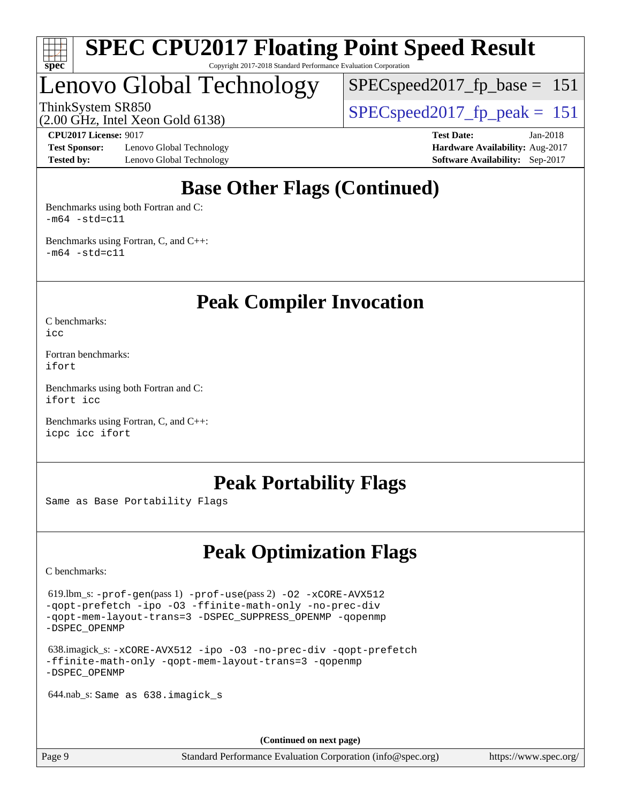

### Lenovo Global Technology

 $SPEC speed2017_fp\_base = 151$ 

ThinkSystem SR850<br>  $SPEC speed2017$  fp\_peak = 151

**[Test Sponsor:](http://www.spec.org/auto/cpu2017/Docs/result-fields.html#TestSponsor)** Lenovo Global Technology **[Hardware Availability:](http://www.spec.org/auto/cpu2017/Docs/result-fields.html#HardwareAvailability)** Aug-2017 **[Tested by:](http://www.spec.org/auto/cpu2017/Docs/result-fields.html#Testedby)** Lenovo Global Technology **[Software Availability:](http://www.spec.org/auto/cpu2017/Docs/result-fields.html#SoftwareAvailability)** Sep-2017

(2.00 GHz, Intel Xeon Gold 6138)

**[CPU2017 License:](http://www.spec.org/auto/cpu2017/Docs/result-fields.html#CPU2017License)** 9017 **[Test Date:](http://www.spec.org/auto/cpu2017/Docs/result-fields.html#TestDate)** Jan-2018

### **[Base Other Flags \(Continued\)](http://www.spec.org/auto/cpu2017/Docs/result-fields.html#BaseOtherFlags)**

[Benchmarks using both Fortran and C](http://www.spec.org/auto/cpu2017/Docs/result-fields.html#BenchmarksusingbothFortranandC):  $-m64$   $-std=cl1$ 

[Benchmarks using Fortran, C, and C++:](http://www.spec.org/auto/cpu2017/Docs/result-fields.html#BenchmarksusingFortranCandCXX)  $-m64 - std= c11$  $-m64 - std= c11$ 

**[Peak Compiler Invocation](http://www.spec.org/auto/cpu2017/Docs/result-fields.html#PeakCompilerInvocation)**

[C benchmarks](http://www.spec.org/auto/cpu2017/Docs/result-fields.html#Cbenchmarks): [icc](http://www.spec.org/cpu2017/results/res2018q1/cpu2017-20180122-03064.flags.html#user_CCpeak_intel_icc_18.0_66fc1ee009f7361af1fbd72ca7dcefbb700085f36577c54f309893dd4ec40d12360134090235512931783d35fd58c0460139e722d5067c5574d8eaf2b3e37e92)

[Fortran benchmarks](http://www.spec.org/auto/cpu2017/Docs/result-fields.html#Fortranbenchmarks): [ifort](http://www.spec.org/cpu2017/results/res2018q1/cpu2017-20180122-03064.flags.html#user_FCpeak_intel_ifort_18.0_8111460550e3ca792625aed983ce982f94888b8b503583aa7ba2b8303487b4d8a21a13e7191a45c5fd58ff318f48f9492884d4413fa793fd88dd292cad7027ca)

[Benchmarks using both Fortran and C](http://www.spec.org/auto/cpu2017/Docs/result-fields.html#BenchmarksusingbothFortranandC): [ifort](http://www.spec.org/cpu2017/results/res2018q1/cpu2017-20180122-03064.flags.html#user_CC_FCpeak_intel_ifort_18.0_8111460550e3ca792625aed983ce982f94888b8b503583aa7ba2b8303487b4d8a21a13e7191a45c5fd58ff318f48f9492884d4413fa793fd88dd292cad7027ca) [icc](http://www.spec.org/cpu2017/results/res2018q1/cpu2017-20180122-03064.flags.html#user_CC_FCpeak_intel_icc_18.0_66fc1ee009f7361af1fbd72ca7dcefbb700085f36577c54f309893dd4ec40d12360134090235512931783d35fd58c0460139e722d5067c5574d8eaf2b3e37e92)

[Benchmarks using Fortran, C, and C++:](http://www.spec.org/auto/cpu2017/Docs/result-fields.html#BenchmarksusingFortranCandCXX) [icpc](http://www.spec.org/cpu2017/results/res2018q1/cpu2017-20180122-03064.flags.html#user_CC_CXX_FCpeak_intel_icpc_18.0_c510b6838c7f56d33e37e94d029a35b4a7bccf4766a728ee175e80a419847e808290a9b78be685c44ab727ea267ec2f070ec5dc83b407c0218cded6866a35d07) [icc](http://www.spec.org/cpu2017/results/res2018q1/cpu2017-20180122-03064.flags.html#user_CC_CXX_FCpeak_intel_icc_18.0_66fc1ee009f7361af1fbd72ca7dcefbb700085f36577c54f309893dd4ec40d12360134090235512931783d35fd58c0460139e722d5067c5574d8eaf2b3e37e92) [ifort](http://www.spec.org/cpu2017/results/res2018q1/cpu2017-20180122-03064.flags.html#user_CC_CXX_FCpeak_intel_ifort_18.0_8111460550e3ca792625aed983ce982f94888b8b503583aa7ba2b8303487b4d8a21a13e7191a45c5fd58ff318f48f9492884d4413fa793fd88dd292cad7027ca)

#### **[Peak Portability Flags](http://www.spec.org/auto/cpu2017/Docs/result-fields.html#PeakPortabilityFlags)**

Same as Base Portability Flags

### **[Peak Optimization Flags](http://www.spec.org/auto/cpu2017/Docs/result-fields.html#PeakOptimizationFlags)**

[C benchmarks](http://www.spec.org/auto/cpu2017/Docs/result-fields.html#Cbenchmarks):

 619.lbm\_s: [-prof-gen](http://www.spec.org/cpu2017/results/res2018q1/cpu2017-20180122-03064.flags.html#user_peakPASS1_CFLAGSPASS1_LDFLAGS619_lbm_s_prof_gen_5aa4926d6013ddb2a31985c654b3eb18169fc0c6952a63635c234f711e6e63dd76e94ad52365559451ec499a2cdb89e4dc58ba4c67ef54ca681ffbe1461d6b36)(pass 1) [-prof-use](http://www.spec.org/cpu2017/results/res2018q1/cpu2017-20180122-03064.flags.html#user_peakPASS2_CFLAGSPASS2_LDFLAGS619_lbm_s_prof_use_1a21ceae95f36a2b53c25747139a6c16ca95bd9def2a207b4f0849963b97e94f5260e30a0c64f4bb623698870e679ca08317ef8150905d41bd88c6f78df73f19)(pass 2) [-O2](http://www.spec.org/cpu2017/results/res2018q1/cpu2017-20180122-03064.flags.html#user_peakPASS1_COPTIMIZE619_lbm_s_f-O2) [-xCORE-AVX512](http://www.spec.org/cpu2017/results/res2018q1/cpu2017-20180122-03064.flags.html#user_peakPASS2_COPTIMIZE619_lbm_s_f-xCORE-AVX512) [-qopt-prefetch](http://www.spec.org/cpu2017/results/res2018q1/cpu2017-20180122-03064.flags.html#user_peakPASS1_COPTIMIZEPASS2_COPTIMIZE619_lbm_s_f-qopt-prefetch) [-ipo](http://www.spec.org/cpu2017/results/res2018q1/cpu2017-20180122-03064.flags.html#user_peakPASS2_COPTIMIZE619_lbm_s_f-ipo) [-O3](http://www.spec.org/cpu2017/results/res2018q1/cpu2017-20180122-03064.flags.html#user_peakPASS2_COPTIMIZE619_lbm_s_f-O3) [-ffinite-math-only](http://www.spec.org/cpu2017/results/res2018q1/cpu2017-20180122-03064.flags.html#user_peakPASS1_COPTIMIZEPASS2_COPTIMIZE619_lbm_s_f_finite_math_only_cb91587bd2077682c4b38af759c288ed7c732db004271a9512da14a4f8007909a5f1427ecbf1a0fb78ff2a814402c6114ac565ca162485bbcae155b5e4258871) [-no-prec-div](http://www.spec.org/cpu2017/results/res2018q1/cpu2017-20180122-03064.flags.html#user_peakPASS2_COPTIMIZE619_lbm_s_f-no-prec-div) [-qopt-mem-layout-trans=3](http://www.spec.org/cpu2017/results/res2018q1/cpu2017-20180122-03064.flags.html#user_peakPASS1_COPTIMIZEPASS2_COPTIMIZE619_lbm_s_f-qopt-mem-layout-trans_de80db37974c74b1f0e20d883f0b675c88c3b01e9d123adea9b28688d64333345fb62bc4a798493513fdb68f60282f9a726aa07f478b2f7113531aecce732043) [-DSPEC\\_SUPPRESS\\_OPENMP](http://www.spec.org/cpu2017/results/res2018q1/cpu2017-20180122-03064.flags.html#suite_peakPASS1_COPTIMIZE619_lbm_s_DSPEC_SUPPRESS_OPENMP) [-qopenmp](http://www.spec.org/cpu2017/results/res2018q1/cpu2017-20180122-03064.flags.html#user_peakPASS2_COPTIMIZE619_lbm_s_qopenmp_16be0c44f24f464004c6784a7acb94aca937f053568ce72f94b139a11c7c168634a55f6653758ddd83bcf7b8463e8028bb0b48b77bcddc6b78d5d95bb1df2967) [-DSPEC\\_OPENMP](http://www.spec.org/cpu2017/results/res2018q1/cpu2017-20180122-03064.flags.html#suite_peakPASS2_COPTIMIZE619_lbm_s_DSPEC_OPENMP)

 638.imagick\_s: [-xCORE-AVX512](http://www.spec.org/cpu2017/results/res2018q1/cpu2017-20180122-03064.flags.html#user_peakCOPTIMIZE638_imagick_s_f-xCORE-AVX512) [-ipo](http://www.spec.org/cpu2017/results/res2018q1/cpu2017-20180122-03064.flags.html#user_peakCOPTIMIZE638_imagick_s_f-ipo) [-O3](http://www.spec.org/cpu2017/results/res2018q1/cpu2017-20180122-03064.flags.html#user_peakCOPTIMIZE638_imagick_s_f-O3) [-no-prec-div](http://www.spec.org/cpu2017/results/res2018q1/cpu2017-20180122-03064.flags.html#user_peakCOPTIMIZE638_imagick_s_f-no-prec-div) [-qopt-prefetch](http://www.spec.org/cpu2017/results/res2018q1/cpu2017-20180122-03064.flags.html#user_peakCOPTIMIZE638_imagick_s_f-qopt-prefetch) [-ffinite-math-only](http://www.spec.org/cpu2017/results/res2018q1/cpu2017-20180122-03064.flags.html#user_peakCOPTIMIZE638_imagick_s_f_finite_math_only_cb91587bd2077682c4b38af759c288ed7c732db004271a9512da14a4f8007909a5f1427ecbf1a0fb78ff2a814402c6114ac565ca162485bbcae155b5e4258871) [-qopt-mem-layout-trans=3](http://www.spec.org/cpu2017/results/res2018q1/cpu2017-20180122-03064.flags.html#user_peakCOPTIMIZE638_imagick_s_f-qopt-mem-layout-trans_de80db37974c74b1f0e20d883f0b675c88c3b01e9d123adea9b28688d64333345fb62bc4a798493513fdb68f60282f9a726aa07f478b2f7113531aecce732043) [-qopenmp](http://www.spec.org/cpu2017/results/res2018q1/cpu2017-20180122-03064.flags.html#user_peakCOPTIMIZE638_imagick_s_qopenmp_16be0c44f24f464004c6784a7acb94aca937f053568ce72f94b139a11c7c168634a55f6653758ddd83bcf7b8463e8028bb0b48b77bcddc6b78d5d95bb1df2967) [-DSPEC\\_OPENMP](http://www.spec.org/cpu2017/results/res2018q1/cpu2017-20180122-03064.flags.html#suite_peakCOPTIMIZE638_imagick_s_DSPEC_OPENMP)

644.nab\_s: Same as 638.imagick\_s

**(Continued on next page)**

Page 9 Standard Performance Evaluation Corporation [\(info@spec.org\)](mailto:info@spec.org) <https://www.spec.org/>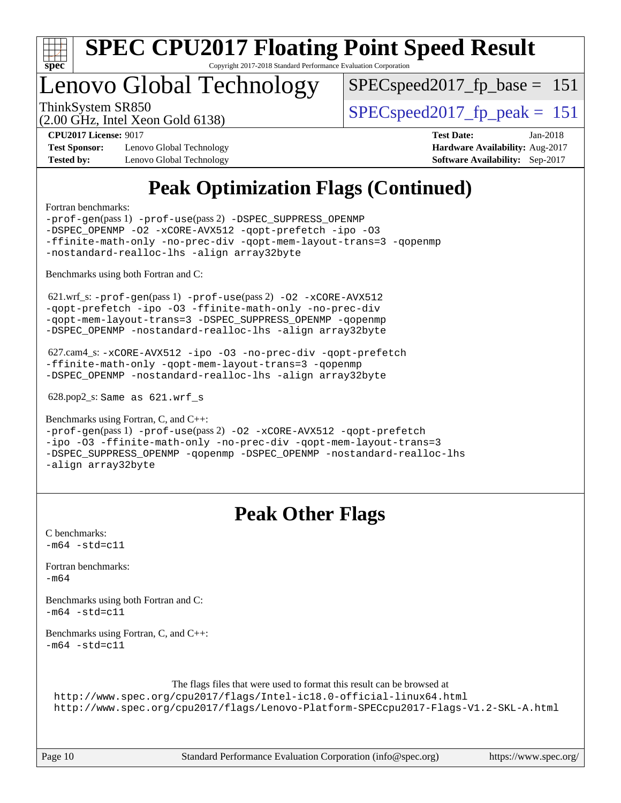

### Lenovo Global Technology

SPECspeed2017 fp base  $= 151$ 

(2.00 GHz, Intel Xeon Gold 6138)

ThinkSystem SR850<br>  $SPEC speed2017$  fp\_peak = 151

**[Test Sponsor:](http://www.spec.org/auto/cpu2017/Docs/result-fields.html#TestSponsor)** Lenovo Global Technology **[Hardware Availability:](http://www.spec.org/auto/cpu2017/Docs/result-fields.html#HardwareAvailability)** Aug-2017 **[Tested by:](http://www.spec.org/auto/cpu2017/Docs/result-fields.html#Testedby)** Lenovo Global Technology **[Software Availability:](http://www.spec.org/auto/cpu2017/Docs/result-fields.html#SoftwareAvailability)** Sep-2017

**[CPU2017 License:](http://www.spec.org/auto/cpu2017/Docs/result-fields.html#CPU2017License)** 9017 **[Test Date:](http://www.spec.org/auto/cpu2017/Docs/result-fields.html#TestDate)** Jan-2018

### **[Peak Optimization Flags \(Continued\)](http://www.spec.org/auto/cpu2017/Docs/result-fields.html#PeakOptimizationFlags)**

[Fortran benchmarks](http://www.spec.org/auto/cpu2017/Docs/result-fields.html#Fortranbenchmarks):

[-prof-gen](http://www.spec.org/cpu2017/results/res2018q1/cpu2017-20180122-03064.flags.html#user_FCpeak_prof_gen_5aa4926d6013ddb2a31985c654b3eb18169fc0c6952a63635c234f711e6e63dd76e94ad52365559451ec499a2cdb89e4dc58ba4c67ef54ca681ffbe1461d6b36)(pass 1) [-prof-use](http://www.spec.org/cpu2017/results/res2018q1/cpu2017-20180122-03064.flags.html#user_FCpeak_prof_use_1a21ceae95f36a2b53c25747139a6c16ca95bd9def2a207b4f0849963b97e94f5260e30a0c64f4bb623698870e679ca08317ef8150905d41bd88c6f78df73f19)(pass 2) [-DSPEC\\_SUPPRESS\\_OPENMP](http://www.spec.org/cpu2017/results/res2018q1/cpu2017-20180122-03064.flags.html#suite_FCpeak_DSPEC_SUPPRESS_OPENMP) [-DSPEC\\_OPENMP](http://www.spec.org/cpu2017/results/res2018q1/cpu2017-20180122-03064.flags.html#suite_FCpeak_DSPEC_OPENMP) [-O2](http://www.spec.org/cpu2017/results/res2018q1/cpu2017-20180122-03064.flags.html#user_FCpeak_f-O2) [-xCORE-AVX512](http://www.spec.org/cpu2017/results/res2018q1/cpu2017-20180122-03064.flags.html#user_FCpeak_f-xCORE-AVX512) [-qopt-prefetch](http://www.spec.org/cpu2017/results/res2018q1/cpu2017-20180122-03064.flags.html#user_FCpeak_f-qopt-prefetch) [-ipo](http://www.spec.org/cpu2017/results/res2018q1/cpu2017-20180122-03064.flags.html#user_FCpeak_f-ipo) [-O3](http://www.spec.org/cpu2017/results/res2018q1/cpu2017-20180122-03064.flags.html#user_FCpeak_f-O3) [-ffinite-math-only](http://www.spec.org/cpu2017/results/res2018q1/cpu2017-20180122-03064.flags.html#user_FCpeak_f_finite_math_only_cb91587bd2077682c4b38af759c288ed7c732db004271a9512da14a4f8007909a5f1427ecbf1a0fb78ff2a814402c6114ac565ca162485bbcae155b5e4258871) [-no-prec-div](http://www.spec.org/cpu2017/results/res2018q1/cpu2017-20180122-03064.flags.html#user_FCpeak_f-no-prec-div) [-qopt-mem-layout-trans=3](http://www.spec.org/cpu2017/results/res2018q1/cpu2017-20180122-03064.flags.html#user_FCpeak_f-qopt-mem-layout-trans_de80db37974c74b1f0e20d883f0b675c88c3b01e9d123adea9b28688d64333345fb62bc4a798493513fdb68f60282f9a726aa07f478b2f7113531aecce732043) [-qopenmp](http://www.spec.org/cpu2017/results/res2018q1/cpu2017-20180122-03064.flags.html#user_FCpeak_qopenmp_16be0c44f24f464004c6784a7acb94aca937f053568ce72f94b139a11c7c168634a55f6653758ddd83bcf7b8463e8028bb0b48b77bcddc6b78d5d95bb1df2967) [-nostandard-realloc-lhs](http://www.spec.org/cpu2017/results/res2018q1/cpu2017-20180122-03064.flags.html#user_FCpeak_f_2003_std_realloc_82b4557e90729c0f113870c07e44d33d6f5a304b4f63d4c15d2d0f1fab99f5daaed73bdb9275d9ae411527f28b936061aa8b9c8f2d63842963b95c9dd6426b8a) [-align array32byte](http://www.spec.org/cpu2017/results/res2018q1/cpu2017-20180122-03064.flags.html#user_FCpeak_align_array32byte_b982fe038af199962ba9a80c053b8342c548c85b40b8e86eb3cc33dee0d7986a4af373ac2d51c3f7cf710a18d62fdce2948f201cd044323541f22fc0fffc51b6)

[Benchmarks using both Fortran and C](http://www.spec.org/auto/cpu2017/Docs/result-fields.html#BenchmarksusingbothFortranandC):

621.wrf\_s:  $-prof-qen(pass 1)$   $-prof-use(pass 2)$  $-prof-use(pass 2)$   $-02$   $-xCORE-AVX512$ [-qopt-prefetch](http://www.spec.org/cpu2017/results/res2018q1/cpu2017-20180122-03064.flags.html#user_peakPASS1_COPTIMIZEPASS1_FOPTIMIZEPASS2_COPTIMIZEPASS2_FOPTIMIZE621_wrf_s_f-qopt-prefetch) [-ipo](http://www.spec.org/cpu2017/results/res2018q1/cpu2017-20180122-03064.flags.html#user_peakPASS2_COPTIMIZEPASS2_FOPTIMIZE621_wrf_s_f-ipo) [-O3](http://www.spec.org/cpu2017/results/res2018q1/cpu2017-20180122-03064.flags.html#user_peakPASS2_COPTIMIZEPASS2_FOPTIMIZE621_wrf_s_f-O3) [-ffinite-math-only](http://www.spec.org/cpu2017/results/res2018q1/cpu2017-20180122-03064.flags.html#user_peakPASS1_COPTIMIZEPASS1_FOPTIMIZEPASS2_COPTIMIZEPASS2_FOPTIMIZE621_wrf_s_f_finite_math_only_cb91587bd2077682c4b38af759c288ed7c732db004271a9512da14a4f8007909a5f1427ecbf1a0fb78ff2a814402c6114ac565ca162485bbcae155b5e4258871) [-no-prec-div](http://www.spec.org/cpu2017/results/res2018q1/cpu2017-20180122-03064.flags.html#user_peakPASS2_COPTIMIZEPASS2_FOPTIMIZE621_wrf_s_f-no-prec-div) [-qopt-mem-layout-trans=3](http://www.spec.org/cpu2017/results/res2018q1/cpu2017-20180122-03064.flags.html#user_peakPASS1_COPTIMIZEPASS1_FOPTIMIZEPASS2_COPTIMIZEPASS2_FOPTIMIZE621_wrf_s_f-qopt-mem-layout-trans_de80db37974c74b1f0e20d883f0b675c88c3b01e9d123adea9b28688d64333345fb62bc4a798493513fdb68f60282f9a726aa07f478b2f7113531aecce732043) [-DSPEC\\_SUPPRESS\\_OPENMP](http://www.spec.org/cpu2017/results/res2018q1/cpu2017-20180122-03064.flags.html#suite_peakPASS1_COPTIMIZEPASS1_FOPTIMIZE621_wrf_s_DSPEC_SUPPRESS_OPENMP) [-qopenmp](http://www.spec.org/cpu2017/results/res2018q1/cpu2017-20180122-03064.flags.html#user_peakPASS2_COPTIMIZEPASS2_FOPTIMIZE621_wrf_s_qopenmp_16be0c44f24f464004c6784a7acb94aca937f053568ce72f94b139a11c7c168634a55f6653758ddd83bcf7b8463e8028bb0b48b77bcddc6b78d5d95bb1df2967) [-DSPEC\\_OPENMP](http://www.spec.org/cpu2017/results/res2018q1/cpu2017-20180122-03064.flags.html#suite_peakPASS2_COPTIMIZEPASS2_FOPTIMIZE621_wrf_s_DSPEC_OPENMP) [-nostandard-realloc-lhs](http://www.spec.org/cpu2017/results/res2018q1/cpu2017-20180122-03064.flags.html#user_peakEXTRA_FOPTIMIZE621_wrf_s_f_2003_std_realloc_82b4557e90729c0f113870c07e44d33d6f5a304b4f63d4c15d2d0f1fab99f5daaed73bdb9275d9ae411527f28b936061aa8b9c8f2d63842963b95c9dd6426b8a) [-align array32byte](http://www.spec.org/cpu2017/results/res2018q1/cpu2017-20180122-03064.flags.html#user_peakEXTRA_FOPTIMIZE621_wrf_s_align_array32byte_b982fe038af199962ba9a80c053b8342c548c85b40b8e86eb3cc33dee0d7986a4af373ac2d51c3f7cf710a18d62fdce2948f201cd044323541f22fc0fffc51b6)

 627.cam4\_s: [-xCORE-AVX512](http://www.spec.org/cpu2017/results/res2018q1/cpu2017-20180122-03064.flags.html#user_peakCOPTIMIZEFOPTIMIZE627_cam4_s_f-xCORE-AVX512) [-ipo](http://www.spec.org/cpu2017/results/res2018q1/cpu2017-20180122-03064.flags.html#user_peakCOPTIMIZEFOPTIMIZE627_cam4_s_f-ipo) [-O3](http://www.spec.org/cpu2017/results/res2018q1/cpu2017-20180122-03064.flags.html#user_peakCOPTIMIZEFOPTIMIZE627_cam4_s_f-O3) [-no-prec-div](http://www.spec.org/cpu2017/results/res2018q1/cpu2017-20180122-03064.flags.html#user_peakCOPTIMIZEFOPTIMIZE627_cam4_s_f-no-prec-div) [-qopt-prefetch](http://www.spec.org/cpu2017/results/res2018q1/cpu2017-20180122-03064.flags.html#user_peakCOPTIMIZEFOPTIMIZE627_cam4_s_f-qopt-prefetch) [-ffinite-math-only](http://www.spec.org/cpu2017/results/res2018q1/cpu2017-20180122-03064.flags.html#user_peakCOPTIMIZEFOPTIMIZE627_cam4_s_f_finite_math_only_cb91587bd2077682c4b38af759c288ed7c732db004271a9512da14a4f8007909a5f1427ecbf1a0fb78ff2a814402c6114ac565ca162485bbcae155b5e4258871) [-qopt-mem-layout-trans=3](http://www.spec.org/cpu2017/results/res2018q1/cpu2017-20180122-03064.flags.html#user_peakCOPTIMIZEFOPTIMIZE627_cam4_s_f-qopt-mem-layout-trans_de80db37974c74b1f0e20d883f0b675c88c3b01e9d123adea9b28688d64333345fb62bc4a798493513fdb68f60282f9a726aa07f478b2f7113531aecce732043) [-qopenmp](http://www.spec.org/cpu2017/results/res2018q1/cpu2017-20180122-03064.flags.html#user_peakCOPTIMIZEFOPTIMIZE627_cam4_s_qopenmp_16be0c44f24f464004c6784a7acb94aca937f053568ce72f94b139a11c7c168634a55f6653758ddd83bcf7b8463e8028bb0b48b77bcddc6b78d5d95bb1df2967) [-DSPEC\\_OPENMP](http://www.spec.org/cpu2017/results/res2018q1/cpu2017-20180122-03064.flags.html#suite_peakCOPTIMIZEFOPTIMIZE627_cam4_s_DSPEC_OPENMP) [-nostandard-realloc-lhs](http://www.spec.org/cpu2017/results/res2018q1/cpu2017-20180122-03064.flags.html#user_peakEXTRA_FOPTIMIZE627_cam4_s_f_2003_std_realloc_82b4557e90729c0f113870c07e44d33d6f5a304b4f63d4c15d2d0f1fab99f5daaed73bdb9275d9ae411527f28b936061aa8b9c8f2d63842963b95c9dd6426b8a) [-align array32byte](http://www.spec.org/cpu2017/results/res2018q1/cpu2017-20180122-03064.flags.html#user_peakEXTRA_FOPTIMIZE627_cam4_s_align_array32byte_b982fe038af199962ba9a80c053b8342c548c85b40b8e86eb3cc33dee0d7986a4af373ac2d51c3f7cf710a18d62fdce2948f201cd044323541f22fc0fffc51b6)

628.pop2\_s: Same as 621.wrf\_s

[Benchmarks using Fortran, C, and C++:](http://www.spec.org/auto/cpu2017/Docs/result-fields.html#BenchmarksusingFortranCandCXX)

[-prof-gen](http://www.spec.org/cpu2017/results/res2018q1/cpu2017-20180122-03064.flags.html#user_CC_CXX_FCpeak_prof_gen_5aa4926d6013ddb2a31985c654b3eb18169fc0c6952a63635c234f711e6e63dd76e94ad52365559451ec499a2cdb89e4dc58ba4c67ef54ca681ffbe1461d6b36)(pass 1) [-prof-use](http://www.spec.org/cpu2017/results/res2018q1/cpu2017-20180122-03064.flags.html#user_CC_CXX_FCpeak_prof_use_1a21ceae95f36a2b53c25747139a6c16ca95bd9def2a207b4f0849963b97e94f5260e30a0c64f4bb623698870e679ca08317ef8150905d41bd88c6f78df73f19)(pass 2) [-O2](http://www.spec.org/cpu2017/results/res2018q1/cpu2017-20180122-03064.flags.html#user_CC_CXX_FCpeak_f-O2) [-xCORE-AVX512](http://www.spec.org/cpu2017/results/res2018q1/cpu2017-20180122-03064.flags.html#user_CC_CXX_FCpeak_f-xCORE-AVX512) [-qopt-prefetch](http://www.spec.org/cpu2017/results/res2018q1/cpu2017-20180122-03064.flags.html#user_CC_CXX_FCpeak_f-qopt-prefetch) [-ipo](http://www.spec.org/cpu2017/results/res2018q1/cpu2017-20180122-03064.flags.html#user_CC_CXX_FCpeak_f-ipo) [-O3](http://www.spec.org/cpu2017/results/res2018q1/cpu2017-20180122-03064.flags.html#user_CC_CXX_FCpeak_f-O3) [-ffinite-math-only](http://www.spec.org/cpu2017/results/res2018q1/cpu2017-20180122-03064.flags.html#user_CC_CXX_FCpeak_f_finite_math_only_cb91587bd2077682c4b38af759c288ed7c732db004271a9512da14a4f8007909a5f1427ecbf1a0fb78ff2a814402c6114ac565ca162485bbcae155b5e4258871) [-no-prec-div](http://www.spec.org/cpu2017/results/res2018q1/cpu2017-20180122-03064.flags.html#user_CC_CXX_FCpeak_f-no-prec-div) [-qopt-mem-layout-trans=3](http://www.spec.org/cpu2017/results/res2018q1/cpu2017-20180122-03064.flags.html#user_CC_CXX_FCpeak_f-qopt-mem-layout-trans_de80db37974c74b1f0e20d883f0b675c88c3b01e9d123adea9b28688d64333345fb62bc4a798493513fdb68f60282f9a726aa07f478b2f7113531aecce732043) [-DSPEC\\_SUPPRESS\\_OPENMP](http://www.spec.org/cpu2017/results/res2018q1/cpu2017-20180122-03064.flags.html#suite_CC_CXX_FCpeak_DSPEC_SUPPRESS_OPENMP) [-qopenmp](http://www.spec.org/cpu2017/results/res2018q1/cpu2017-20180122-03064.flags.html#user_CC_CXX_FCpeak_qopenmp_16be0c44f24f464004c6784a7acb94aca937f053568ce72f94b139a11c7c168634a55f6653758ddd83bcf7b8463e8028bb0b48b77bcddc6b78d5d95bb1df2967) [-DSPEC\\_OPENMP](http://www.spec.org/cpu2017/results/res2018q1/cpu2017-20180122-03064.flags.html#suite_CC_CXX_FCpeak_DSPEC_OPENMP) [-nostandard-realloc-lhs](http://www.spec.org/cpu2017/results/res2018q1/cpu2017-20180122-03064.flags.html#user_CC_CXX_FCpeak_f_2003_std_realloc_82b4557e90729c0f113870c07e44d33d6f5a304b4f63d4c15d2d0f1fab99f5daaed73bdb9275d9ae411527f28b936061aa8b9c8f2d63842963b95c9dd6426b8a) [-align array32byte](http://www.spec.org/cpu2017/results/res2018q1/cpu2017-20180122-03064.flags.html#user_CC_CXX_FCpeak_align_array32byte_b982fe038af199962ba9a80c053b8342c548c85b40b8e86eb3cc33dee0d7986a4af373ac2d51c3f7cf710a18d62fdce2948f201cd044323541f22fc0fffc51b6)

### **[Peak Other Flags](http://www.spec.org/auto/cpu2017/Docs/result-fields.html#PeakOtherFlags)**

[C benchmarks](http://www.spec.org/auto/cpu2017/Docs/result-fields.html#Cbenchmarks):  $-m64 - std= c11$  $-m64 - std= c11$ [Fortran benchmarks](http://www.spec.org/auto/cpu2017/Docs/result-fields.html#Fortranbenchmarks): [-m64](http://www.spec.org/cpu2017/results/res2018q1/cpu2017-20180122-03064.flags.html#user_FCpeak_intel_intel64_18.0_af43caccfc8ded86e7699f2159af6efc7655f51387b94da716254467f3c01020a5059329e2569e4053f409e7c9202a7efc638f7a6d1ffb3f52dea4a3e31d82ab) [Benchmarks using both Fortran and C](http://www.spec.org/auto/cpu2017/Docs/result-fields.html#BenchmarksusingbothFortranandC):  $-m64 - std= c11$  $-m64 - std= c11$ [Benchmarks using Fortran, C, and C++:](http://www.spec.org/auto/cpu2017/Docs/result-fields.html#BenchmarksusingFortranCandCXX)  $-m64 - std= c11$  $-m64 - std= c11$ The flags files that were used to format this result can be browsed at <http://www.spec.org/cpu2017/flags/Intel-ic18.0-official-linux64.html>

<http://www.spec.org/cpu2017/flags/Lenovo-Platform-SPECcpu2017-Flags-V1.2-SKL-A.html>